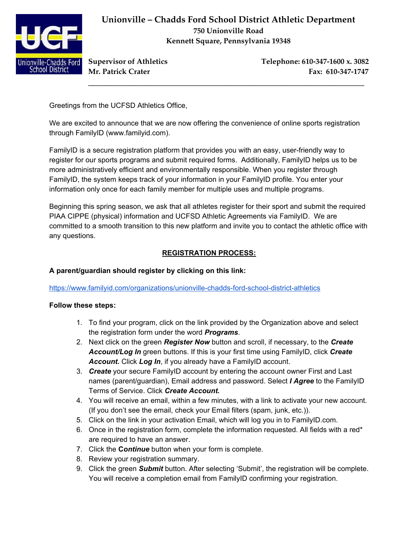

**Unionville – Chadds Ford School District Athletic Department 750 Unionville Road Kennett Square, Pennsylvania 19348**

\_\_\_\_\_\_\_\_\_\_\_\_\_\_\_\_\_\_\_\_\_\_\_\_\_\_\_\_\_\_\_\_\_\_\_\_\_\_\_\_\_\_\_\_\_\_\_\_\_\_\_\_\_\_\_\_\_\_\_\_\_\_\_\_\_\_

**Supervisor of Athletics Telephone: 610-347-1600 x. 3082 Mr. Patrick Crater Fax: 610-347-1747**

Greetings from the UCFSD Athletics Office,

We are excited to announce that we are now offering the convenience of online sports registration through FamilyID (www.familyid.com).

FamilyID is a secure registration platform that provides you with an easy, user-friendly way to register for our sports programs and submit required forms. Additionally, FamilyID helps us to be more administratively efficient and environmentally responsible. When you register through FamilyID, the system keeps track of your information in your FamilyID profile. You enter your information only once for each family member for multiple uses and multiple programs.

Beginning this spring season, we ask that all athletes register for their sport and submit the required PIAA CIPPE (physical) information and UCFSD Athletic Agreements via FamilyID. We are committed to a smooth transition to this new platform and invite you to contact the athletic office with any questions.

# **REGISTRATION PROCESS:**

# **A parent/guardian should register by clicking on this link:**

### https://www.familyid.com/organizations/unionville-chadds-ford-school-district-athletics

### **Follow these steps:**

- 1. To find your program, click on the link provided by the Organization above and select the registration form under the word *Programs*.
- 2. Next click on the green *Register Now* button and scroll, if necessary, to the *Create Account/Log In* green buttons. If this is your first time using FamilyID, click *Create Account.* Click *Log In*, if you already have a FamilyID account.
- 3. *Create* your secure FamilyID account by entering the account owner First and Last names (parent/guardian), Email address and password. Select *I Agree* to the FamilyID Terms of Service. Click *Create Account.*
- 4. You will receive an email, within a few minutes, with a link to activate your new account. (If you don't see the email, check your Email filters (spam, junk, etc.)).
- 5. Click on the link in your activation Email, which will log you in to FamilyID.com.
- 6. Once in the registration form, complete the information requested. All fields with a red\* are required to have an answer.
- 7. Click the **C***ontinue* button when your form is complete.
- 8. Review your registration summary.
- 9. Click the green *Submit* button. After selecting 'Submit', the registration will be complete. You will receive a completion email from FamilyID confirming your registration.